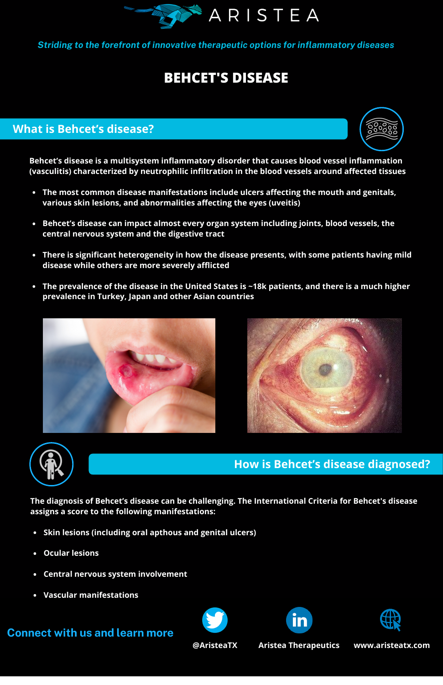

*Striding to the forefront of innovative therapeutic options for inflammatory diseases*

# **BEHCET'S DISEASE**

#### **What is Behcet's disease?**

**Behcet's disease is a multisystem inflammatory disorder that causes blood vessel inflammation (vasculitis) characterized by neutrophilic infiltration in the blood vessels around affected tissues**

- **The most common disease manifestations include ulcers affecting the mouth and genitals, various skin lesions, and abnormalities affecting the eyes (uveitis)**
- **Behcet's disease can impact almost every organ system including joints, blood vessels, the central nervous system and the digestive tract**
- **There is significant heterogeneity in how the disease presents, with some patients having mild disease while others are more severely afflicted**
- **The prevalence of the disease in the United States is ~18k patients, and there is a much higher prevalence in Turkey, Japan and other Asian countries**







## **How is Behcet's disease diagnosed?**

**The diagnosis of Behcet's disease can be challenging. The International Criteria for Behcet's disease assigns a score to the following manifestations:**

- **Skin lesions (including oral apthous and genital ulcers)**
- **Ocular lesions**
- **Central nervous system involvement**
- **Vascular manifestations**









**@AristeaTX Aristea Therapeutics www.aristeatx.com**